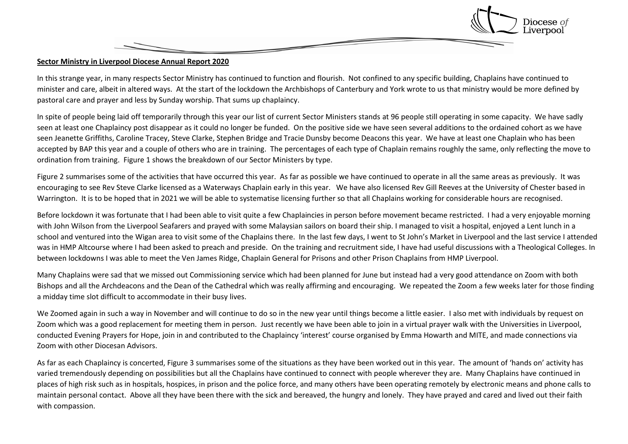

## **Sector Ministry in Liverpool Diocese Annual Report 2020**

In this strange year, in many respects Sector Ministry has continued to function and flourish. Not confined to any specific building, Chaplains have continued to minister and care, albeit in altered ways. At the start of the lockdown the Archbishops of Canterbury and York wrote to us that ministry would be more defined by pastoral care and prayer and less by Sunday worship. That sums up chaplaincy.

In spite of people being laid off temporarily through this year our list of current Sector Ministers stands at 96 people still operating in some capacity. We have sadly seen at least one Chaplaincy post disappear as it could no longer be funded. On the positive side we have seen several additions to the ordained cohort as we have seen Jeanette Griffiths, Caroline Tracey, Steve Clarke, Stephen Bridge and Tracie Dunsby become Deacons this year. We have at least one Chaplain who has been accepted by BAP this year and a couple of others who are in training. The percentages of each type of Chaplain remains roughly the same, only reflecting the move to ordination from training. Figure 1 shows the breakdown of our Sector Ministers by type.

Figure 2 summarises some of the activities that have occurred this year. As far as possible we have continued to operate in all the same areas as previously. It was encouraging to see Rev Steve Clarke licensed as a Waterways Chaplain early in this year. We have also licensed Rev Gill Reeves at the University of Chester based in Warrington. It is to be hoped that in 2021 we will be able to systematise licensing further so that all Chaplains working for considerable hours are recognised.

Before lockdown it was fortunate that I had been able to visit quite a few Chaplaincies in person before movement became restricted. I had a very enjoyable morning with John Wilson from the Liverpool Seafarers and prayed with some Malaysian sailors on board their ship. I managed to visit a hospital, enjoyed a Lent lunch in a school and ventured into the Wigan area to visit some of the Chaplains there. In the last few days, I went to St John's Market in Liverpool and the last service I attended was in HMP Altcourse where I had been asked to preach and preside. On the training and recruitment side, I have had useful discussions with a Theological Colleges. In between lockdowns I was able to meet the Ven James Ridge, Chaplain General for Prisons and other Prison Chaplains from HMP Liverpool.

Many Chaplains were sad that we missed out Commissioning service which had been planned for June but instead had a very good attendance on Zoom with both Bishops and all the Archdeacons and the Dean of the Cathedral which was really affirming and encouraging. We repeated the Zoom a few weeks later for those finding a midday time slot difficult to accommodate in their busy lives.

We Zoomed again in such a way in November and will continue to do so in the new year until things become a little easier. I also met with individuals by request on Zoom which was a good replacement for meeting them in person. Just recently we have been able to join in a virtual prayer walk with the Universities in Liverpool, conducted Evening Prayers for Hope, join in and contributed to the Chaplaincy 'interest' course organised by Emma Howarth and MITE, and made connections via Zoom with other Diocesan Advisors.

As far as each Chaplaincy is concerted, Figure 3 summarises some of the situations as they have been worked out in this year. The amount of 'hands on' activity has varied tremendously depending on possibilities but all the Chaplains have continued to connect with people wherever they are. Many Chaplains have continued in places of high risk such as in hospitals, hospices, in prison and the police force, and many others have been operating remotely by electronic means and phone calls to maintain personal contact. Above all they have been there with the sick and bereaved, the hungry and lonely. They have prayed and cared and lived out their faith with compassion.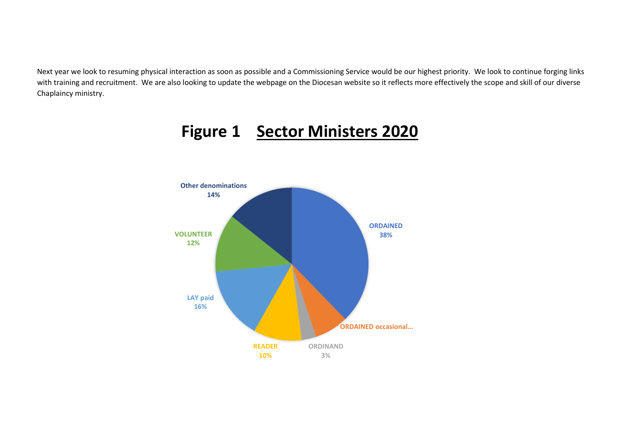Next year we look to resuming physical interaction as soon as possible and a Commissioning Service would be our highest priority. We look to continue forging links with training and recruitment. We are also looking to update the webpage on the Diocesan website so it reflects more effectively the scope and skill of our diverse Chaplaincy ministry.



## **Figure 1 Sector Ministers 2020**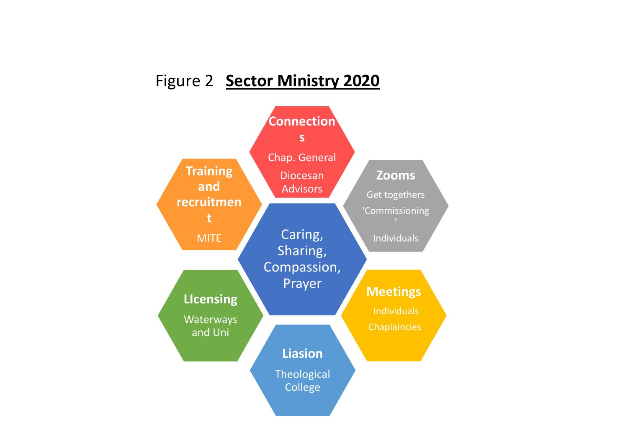## Figure 2 **Sector Ministry 2020**